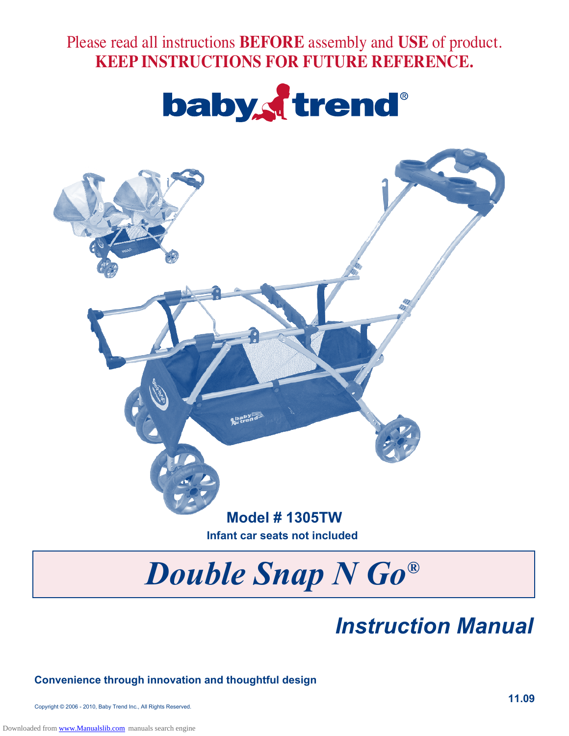Please read all instructions **BEFORE** assembly and **USE** of product. **KEEP INSTRUCTIONS FOR FUTURE REFERENCE.**





# *Double Snap N Go®*

## *Instruction Manual*

#### **Convenience through innovation and thoughtful design**

Copyright © 2006 - 2010, Baby Trend Inc., All Rights Reserved.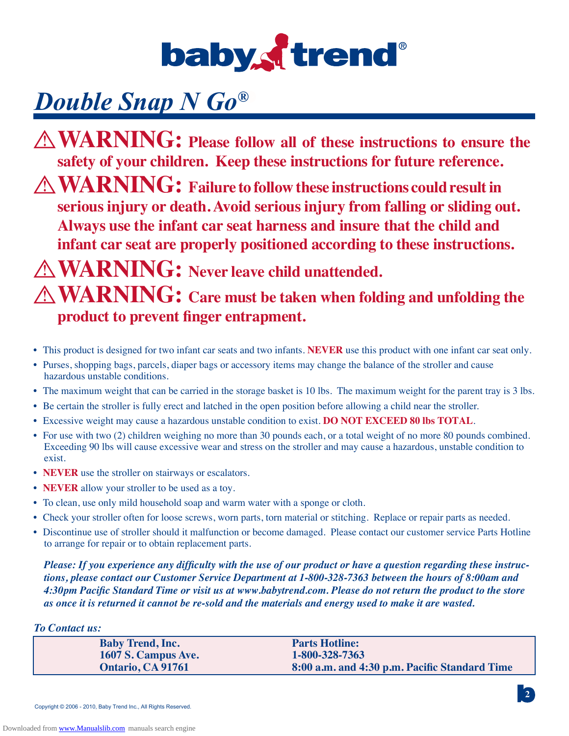

## *Double Snap N Go<sup>®</sup></sup>*

**WARNING: Please follow all of these instructions to ensure the safety of your children. Keep these instructions for future reference.** 

**WARNING: Failure to followthese instructions could resultin serious injury or death. Avoid serious injury from falling or sliding out. Always use the infant car seat harness and insure that the child and infant car seat are properly positioned according to these instructions.** 

## **WARNING: Never leave child unattended. WARNING: Care must be taken when folding and unfolding the product to prevent finger entrapment.**

- This product is designed for two infant car seats and two infants. **NEVER** use this product with one infant car seat only.
- Purses, shopping bags, parcels, diaper bags or accessory items may change the balance of the stroller and cause hazardous unstable conditions.
- The maximum weight that can be carried in the storage basket is 10 lbs. The maximum weight for the parent tray is 3 lbs.
- Be certain the stroller is fully erect and latched in the open position before allowing a child near the stroller.
- Excessive weight may cause a hazardous unstable condition to exist. **DO NOT EXCEED 80 lbs TOTAL**.
- For use with two (2) children weighing no more than 30 pounds each, or a total weight of no more 80 pounds combined. Exceeding 90 lbs will cause excessive wear and stress on the stroller and may cause a hazardous, unstable condition to exist.
- **NEVER** use the stroller on stairways or escalators.
- **NEVER** allow your stroller to be used as a toy.
- To clean, use only mild household soap and warm water with a sponge or cloth.
- Check your stroller often for loose screws, worn parts, torn material or stitching. Replace or repair parts as needed.
- Discontinue use of stroller should it malfunction or become damaged. Please contact our customer service Parts Hotline to arrange for repair or to obtain replacement parts.

*Please: If you experience any difficulty with the use of our product or have a question regarding these instructions, please contact our Customer Service Department at 1-800-328-7363 between the hours of 8:00am and 4:30pm Pacific Standard Time or visit us at www.babytrend.com. Please do not return the product to the store as once it is returned it cannot be re-sold and the materials and energy used to make it are wasted.*

#### *To Contact us:*

| <b>Baby Trend, Inc.</b> | <b>Parts Hotline:</b>                         |
|-------------------------|-----------------------------------------------|
| 1607 S. Campus Ave.     | 1-800-328-7363                                |
| Ontario, CA 91761       | 8:00 a.m. and 4:30 p.m. Pacific Standard Time |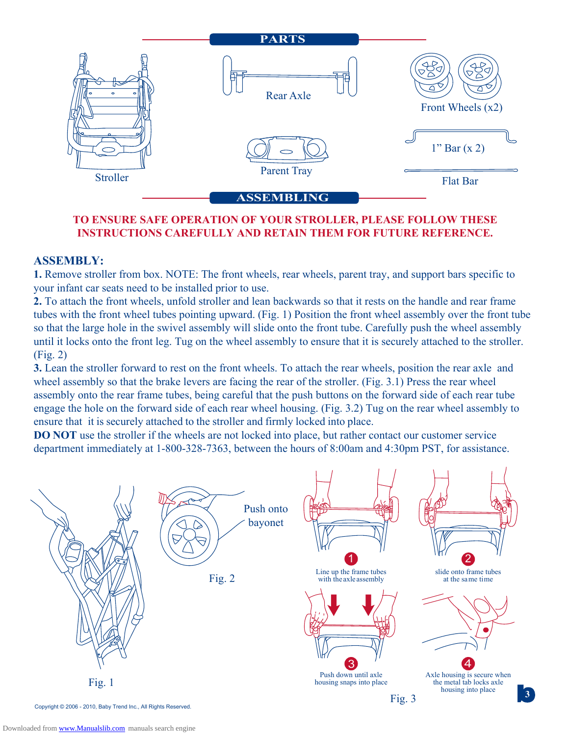

#### **TO ENSURE SAFE OPERATION OF YOUR STROLLER, PLEASE FOLLOW THESE INSTRUCTIONS CAREFULLY AND RETAIN THEM FOR FUTURE REFERENCE.**

#### **ASSEMBLY:**

**1.** Remove stroller from box. NOTE: The front wheels, rear wheels, parent tray, and support bars specific to your infant car seats need to be installed prior to use.

**2.** To attach the front wheels, unfold stroller and lean backwards so that it rests on the handle and rear frame tubes with the front wheel tubes pointing upward. (Fig. 1) Position the front wheel assembly over the front tube so that the large hole in the swivel assembly will slide onto the front tube. Carefully push the wheel assembly until it locks onto the front leg. Tug on the wheel assembly to ensure that it is securely attached to the stroller. (Fig. 2)

**3.** Lean the stroller forward to rest on the front wheels. To attach the rear wheels, position the rear axle and wheel assembly so that the brake levers are facing the rear of the stroller. (Fig. 3.1) Press the rear wheel assembly onto the rear frame tubes, being careful that the push buttons on the forward side of each rear tube engage the hole on the forward side of each rear wheel housing. (Fig. 3.2) Tug on the rear wheel assembly to ensure that it is securely attached to the stroller and firmly locked into place.

**DO NOT** use the stroller if the wheels are not locked into place, but rather contact our customer service department immediately at 1-800-328-7363, between the hours of 8:00am and 4:30pm PST, for assistance.

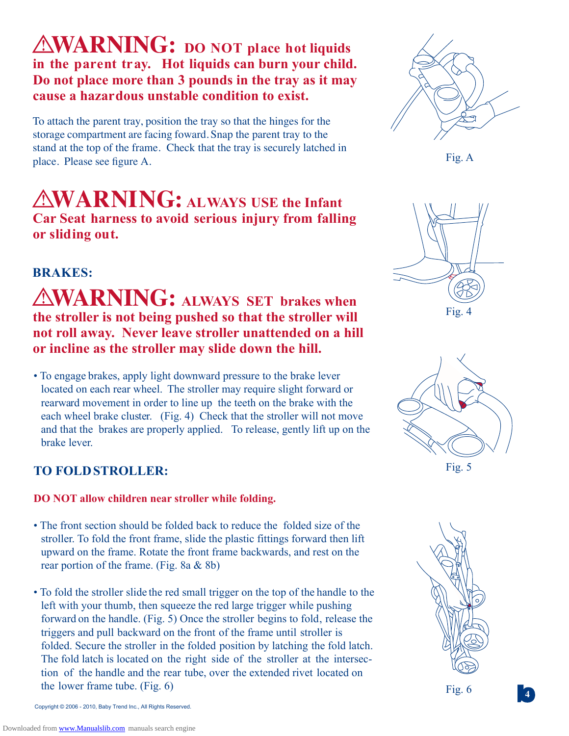## **WARNING: DO NOT place hot liquids in the parent tray. Hot liquids can burn your child. Do not place more than 3 pounds in the tray as it may cause a hazardous unstable condition to exist.**

To attach the parent tray, position the tray so that the hinges for the storage compartment are facing foward. Snap the parent tray to the stand at the top of the frame. Check that the tray is securely latched in place. Please see figure A.

**WARNING: ALWAYS USE the Infant Car Seat harness to avoid serious injury from falling or sliding out.** 

### **BRAKES:**

### **WARNING: ALWAYS SET brakes when the stroller is not being pushed so that the stroller will not roll away. Never leave stroller unattended on a hill or incline as the stroller may slide down the hill.**

• To engage brakes, apply light downward pressure to the brake lever located on each rear wheel. The stroller may require slight forward or rearward movement in order to line up the teeth on the brake with the each wheel brake cluster. (Fig. 4) Check that the stroller will not move and that the brakes are properly applied. To release, gently lift up on the brake lever.

### **TO FOLDSTROLLER:**

#### **DO NOT allow children near stroller while folding.**

- The front section should be folded back to reduce the folded size of the stroller. To fold the front frame, slide the plastic fittings forward then lift upward on the frame. Rotate the front frame backwards, and rest on the rear portion of the frame. (Fig. 8a & 8b)
- To fold the stroller slide the red small trigger on the top of the handle to the left with your thumb, then squeeze the red large trigger while pushing forward on the handle. (Fig. 5) Once the stroller begins to fold, release the triggers and pull backward on the front of the frame until stroller is folded. Secure the stroller in the folded position by latching the fold latch. The fold latch is located on the right side of the stroller at the intersection of the handle and the rear tube, over the extended rivet located on the lower frame tube. (Fig. 6)



Fig. A



Fig. 4









Copyright © 2006 - 2010, Baby Trend Inc., All Rights Reserved.

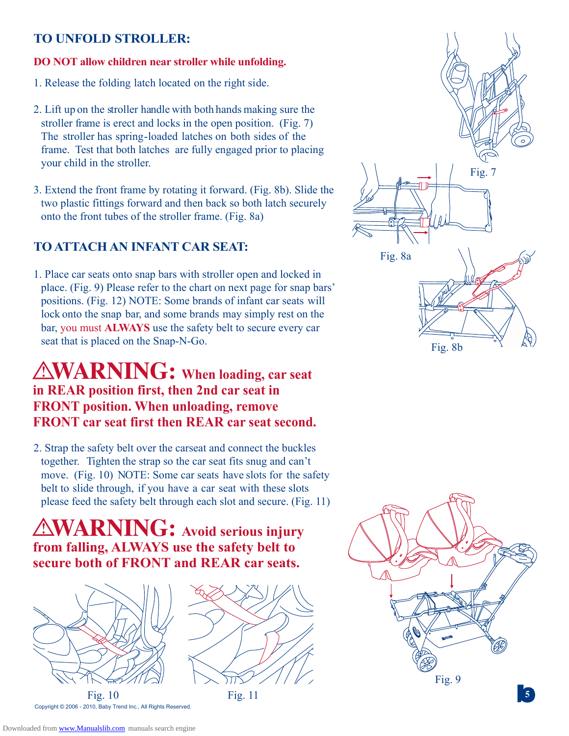#### **TO UNFOLD STROLLER:**

#### **DO NOT allow children near stroller while unfolding.**

- 1. Release the folding latch located on the right side.
- 2. Lift up on the stroller handle with both hands making sure the stroller frame is erect and locks in the open position. (Fig. 7) The stroller has spring-loaded latches on both sides of the frame. Test that both latches are fully engaged prior to placing your child in the stroller.
- 3. Extend the front frame by rotating it forward. (Fig. 8b). Slide the two plastic fittings forward and then back so both latch securely onto the front tubes of the stroller frame. (Fig. 8a)

#### **TO ATTACH AN INFANT CAR SEAT:**

1. Place car seats onto snap bars with stroller open and locked in place. (Fig. 9) Please refer to the chart on next page for snap bars' positions. (Fig. 12) NOTE: Some brands of infant car seats will lock onto the snap bar, and some brands may simply rest on the bar, you must **ALWAYS** use the safety belt to secure every car seat that is placed on the Snap-N-Go.

## **WARNING: When loading, car seat in REAR position first, then 2nd car seat in FRONT position. When unloading, remove FRONT car seat first then REAR car seat second.**

2. Strap the safety belt over the carseat and connect the buckles together. Tighten the strap so the car seat fits snug and can't move. (Fig. 10) NOTE: Some car seats have slots for the safety belt to slide through, if you have a car seat with these slots please feed the safety belt through each slot and secure. (Fig. 11)

## **WARNING: Avoid serious injury from falling, ALWAYS use the safety belt to secure both of FRONT and REAR car seats.**



Fig. 10 Fig. 11 **5** Copyright © 2006 - 2010, Baby Trend Inc., All Rights Reserved.